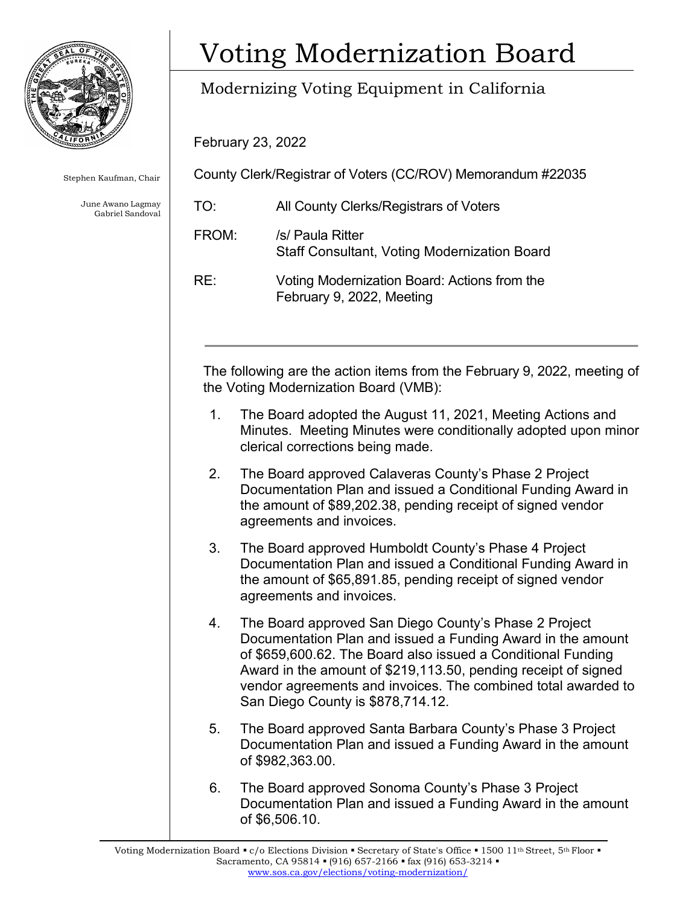

Stephen Kaufman, Chair

 Gabriel Sandoval June Awano Lagmay

## Voting Modernization Board

## Modernizing Voting Equipment in California

February 23, 2022

County Clerk/Registrar of Voters (CC/ROV) Memorandum #22035

| TO:   | All County Clerks/Registrars of Voters                                    |
|-------|---------------------------------------------------------------------------|
| FROM: | /s/ Paula Ritter<br><b>Staff Consultant, Voting Modernization Board</b>   |
| RE:   | Voting Modernization Board: Actions from the<br>February 9, 2022, Meeting |

 The following are the action items from the February 9, 2022, meeting of the Voting Modernization Board (VMB):

- 1. The Board adopted the August 11, 2021, Meeting Actions and Minutes. Meeting Minutes were conditionally adopted upon minor clerical corrections being made.
- 2. The Board approved Calaveras County's Phase 2 Project Documentation Plan and issued a Conditional Funding Award in the amount of \$[89,202.38](https://89,202.38), pending receipt of signed vendor agreements and invoices.
- 3. The Board approved Humboldt County's Phase 4 Project Documentation Plan and issued a Conditional Funding Award in the amount of \$[65,891.85](https://65,891.85), pending receipt of signed vendor agreements and invoices.
- 4. The Board approved San Diego County's Phase 2 Project Documentation Plan and issued a Funding Award in the amount of [\\$659,600.62](https://659,600.62). The Board also issued a Conditional Funding Award in the amount of \$[219,113.50,](https://219,113.50) pending receipt of signed vendor agreements and invoices. The combined total awarded to San Diego County is \$[878,714.12.](https://878,714.12)
- 5. The Board approved Santa Barbara County's Phase 3 Project Documentation Plan and issued a Funding Award in the amount of [\\$982,363.00](https://982,363.00).
- 6. The Board approved Sonoma County's Phase 3 Project Documentation Plan and issued a Funding Award in the amount of \$6,506.10.